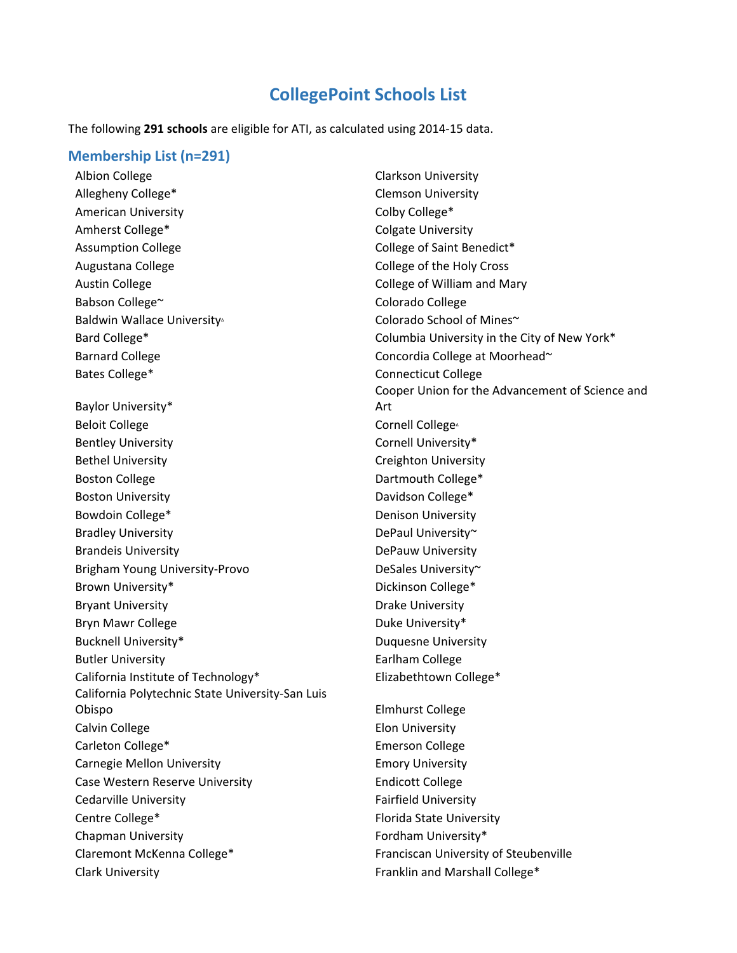## **CollegePoint Schools List**

The following **291 schools** are eligible for ATI, as calculated using 2014-15 data.

## **Membership List (n=291)**

Albion College Clarkson University Allegheny College<sup>\*</sup> The Clemson University American University **College**\* Colby College<sup>\*</sup> Amherst College\* The Colgate University Assumption College College College College of Saint Benedict\* Augustana College **College College College of the Holy Cross** Austin College **College College College of William and Mary** Babson College~ Colorado College Baldwin Wallace University△ Colorado School of Mines Barnard College Concordia College at Moorhead~ Bates College\* The Connecticut College Connecticut College Baylor University\* Beloit College Cornell College∆ Bentley University **Cornell University** 8 Bethel University **Creighton University** Creighton University Boston College **Dartmouth College Boston College Dartmouth College Propose** Boston University **Davidson College\*** Bowdoin College\* The College of the Denison University Bradley University **DePaul University** Brandeis University **DePauw University** Brigham Young University-Provo DeSales University~ Brown University\* The College of the College of the Dickinson College \* Bryant University **Drake University** Bryn Mawr College **Duke University**\* Bucknell University\* The Contract of the Duquesne University Butler University **Early** Earlham College California Institute of Technology\* Elizabethtown College\* California Polytechnic State University-San Luis Obispo Elmhurst College Calvin College **Elon University** Carleton College\* Emerson College Carnegie Mellon University **Emory University** Case Western Reserve University **Endicott College** Cedarville University **Fairfield University** Centre College\* The College of the College of the College of the College of the College of the College of the College of the College of the College of the College of the College of the College of the College of the College Chapman University **Fordham University Fordham University** Claremont McKenna College\* Franciscan University of Steubenville Clark University **Franklin** and Marshall College\*

Bard College\* The Columbia University in the City of New York\* Cooper Union for the Advancement of Science and Art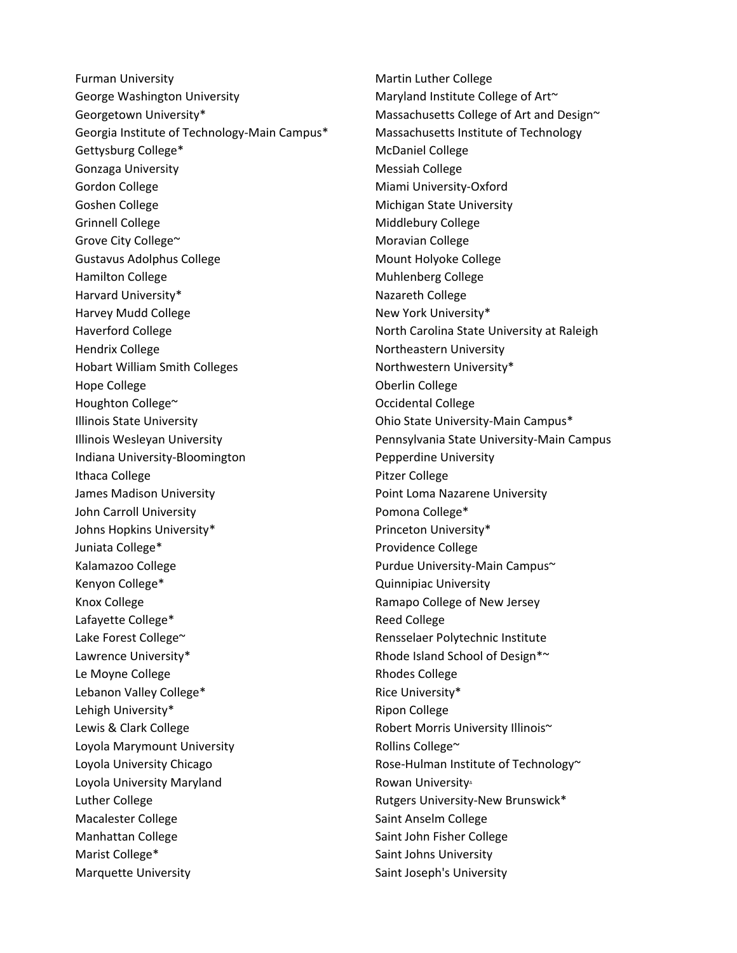Furman University **Martin Luther College** Martin Luther College George Washington University Maryland Institute College of Art~ Georgetown University\* The Massachusetts College of Art and Design~ Georgia Institute of Technology-Main Campus\* Massachusetts Institute of Technology Gettysburg College\* The College College McDaniel College Gonzaga University **Messiah College** Messiah College Gordon College **Miami University-Oxford** Miami University-Oxford Goshen College **Michigan State University** Grinnell College **Middlebury College** Middlebury College Grove City College~ The College and College and College Moravian College Gustavus Adolphus College and Mount Holyoke College Hamilton College **Muhlenberg** College Muhlenberg College Harvard University\* Nazareth College Harvey Mudd College New York University\* Haverford College **North Carolina State University at Raleigh** North Carolina State University at Raleigh Hendrix College Northeastern University Hobart William Smith Colleges Northwestern University\* Hope College **Oberlin** College **Oberlin** College Houghton College~ The College Contract of College Contract Occidental College Illinois State University Ohio State University-Main Campus\* Illinois Wesleyan University Pennsylvania State University-Main Campus Indiana University-Bloomington Pepperdine University Ithaca College **Pitzer College** Pitzer College James Madison University **Properties According to Matheman According Point Loma Nazarene University** John Carroll University **Pomona College\*** Johns Hopkins University\* The Community of Princeton University\* Juniata College\* The College of the Providence College Kalamazoo College **Purdue University-Main Campus** Kenyon College\* The College of the College of College and College and College and College and College and College and College and College and College and College and College and College and College and College and College Knox College **Ramapo College of New Jersey** Lafayette College\* The College Reed College Lake Forest College~ The College College College College College Rensselaer Polytechnic Institute Lawrence University\* The Communication of Design \*~ Le Moyne College **Rhodes** College **Rhodes** College Lebanon Valley College\* The Collection of the Collective Rice University\* Lehigh University\* The College Ripon College Lewis & Clark College **Robert Morris University Illinois**~ Loyola Marymount University **Rollins College** and Rollins College and Rollins College and Rollins College and Ro Loyola University Chicago **Rose-Hulman Institute of Technology** Loyola University Maryland **Rowan University** Rowan University Luther College The Rutgers University-New Brunswick\* Macalester College Saint Anselm College Manhattan College Saint John Fisher College Marist College\* The Saint Johns University Marquette University **Saint Joseph's University** Saint Joseph's University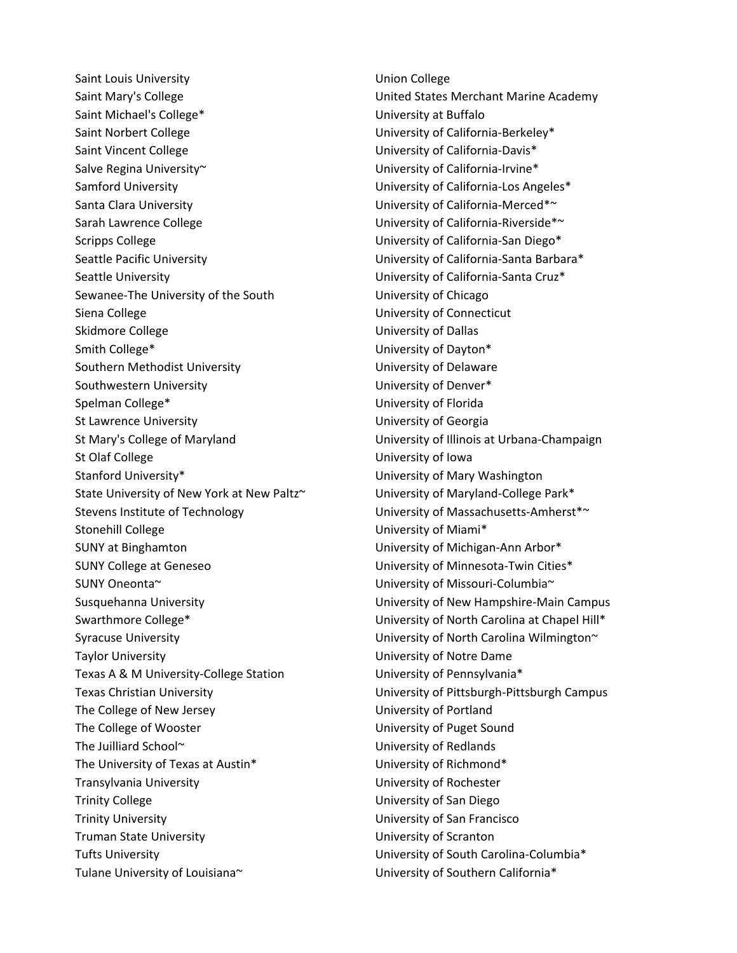Saint Louis University **No. 2018** Union College Saint Mary's College The United States Merchant Marine Academy Saint Michael's College\* The College of the University at Buffalo Saint Norbert College **Northert College** University of California-Berkeley\* Saint Vincent College The University of California-Davis\* Salve Regina University~ The University of California-Irvine\* Samford University University of California-Los Angeles\* Santa Clara University **No. 2018** University of California-Merced<sup>\*~</sup> Sarah Lawrence College The University of California-Riverside\*~ Scripps College The University of California-San Diego\* Seattle Pacific University **No. 2. Interest and Seattle Pacific University of California-Santa Barbara\*** Seattle University **Seattle University University of California-Santa Cruz\*** Sewanee-The University of the South University of Chicago Siena College **University of Connecticut University of Connecticut** Skidmore College The University of Dallas Smith College\* The College of Dayton and Diversity of Dayton \* Southern Methodist University **Example 20 Southern Methodist University** of Delaware Southwestern University **No. 2018** University of Denver\* Spelman College\* The College of Florida University of Florida St Lawrence University **St Lawrence University University of Georgia** St Mary's College of Maryland University of Illinois at Urbana-Champaign St Olaf College University of Iowa Stanford University\* The Community of Mary Washington State University of New York at New Paltz~ University of Maryland-College Park\* Stevens Institute of Technology University of Massachusetts-Amherst\*~ Stonehill College University of Miami\* SUNY at Binghamton **National Community of Michigan-Ann Arbor\*** University of Michigan-Ann Arbor\* SUNY College at Geneseo SUNY College at Geneseo Current Cities\* SUNY Oneonta~ University of Missouri-Columbia~ Swarthmore College\* The College of North Carolina at Chapel Hill\* Syracuse University **No. 2018** University of North Carolina Wilmington  $\sim$ Taylor University University of Notre Dame Texas A & M University-College Station University of Pennsylvania\* Texas Christian University University of Pittsburgh-Pittsburgh Campus The College of New Jersey The College of New Jersey The College of New Jersey The College of Wooster **National Exercise Sound** University of Puget Sound The Juilliard School~ University of Redlands The University of Texas at Austin\* The University of Richmond\* Transylvania University University of Rochester Trinity College Trinity College Trinity College University of San Diego Trinity University University of San Francisco Truman State University University of Scranton Tufts University **Tufts** University of South Carolina-Columbia<sup>\*</sup> Tulane University of Louisiana~ University of Southern California\*

Susquehanna University University of New Hampshire-Main Campus